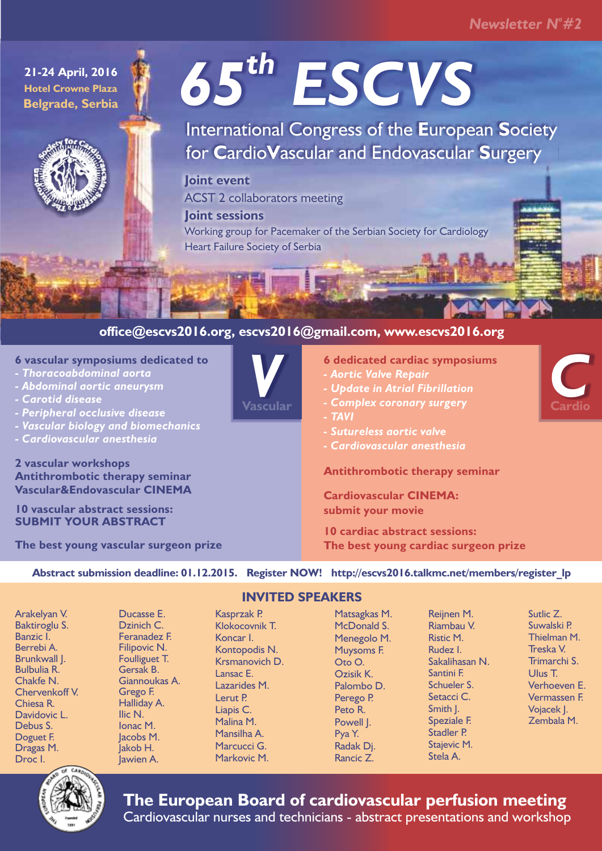# *<sup>o</sup> Newsletter N #2*

**21-24 April, 2016 Hotel Crowne Plaza Belgrade, Serbia**



**2 vascular workshops** 

*- Carotid disease* 

*- Thoracoabdominal aorta - Abdominal aortic aneurysm* 

*- Peripheral occlusive disease* 

*- Cardiovascular anesthesia*

**6 vascular symposiums dedicated to**

**Antithrombotic therapy seminar Vascular&Endovascular CINEMA**

*- Vascular biology and biomechanics*

**The best young vascular surgeon prize**

**10 vascular abstract sessions: SUBMIT YOUR ABSTRACT**

# *th 65 ESCVS*

International Congress of the **E**uropean **S**ociety for **C**ardio**V**ascular and Endovascular **S**urgery

**Joint event**  ACST 2 collaborators meeting **Joint sessions** 

Working group for Pacemaker of the Serbian Society for Cardiology Heart Failure Society of Serbia

## **office@escvs2016.org, escvs2016@gmail.com, www.escvs2016.org**

# **V** *V* **ascular**

**6 dedicated cardiac symposiums**

- *Aortic Valve Repair*
- *Update in Atrial Fibrillation*
- *Complex coronary surgery*
- *TAVI*
- *Sutureless aortic valve*
- *Cardiovascular anesthesia*

#### **Antithrombotic therapy seminar**

**Cardiovascular CINEMA: submit your movie**

**10 cardiac abstract sessions: The best young cardiac surgeon prize**

**Abstract submission deadline: 01.12.2015. Register NOW! http://escvs2016.talkmc.net/members/register\_lp**

Arakelyan V. Baktiroglu S. Banzic I. Berrebi A. Brunkwall J. Bulbulia R. Chakfe N. Chervenkoff V. Chiesa R. Davidovic L. Debus S. Doguet F. Dragas M. Droc I.

Ducasse E. Dzinich C. Feranadez F. Filipovic N. Foulliguet T. Gersak B. Giannoukas A. Grego F. Halliday A. Ilic N. Ionac M. lacobs M. Jakob H. Jawien A.

### **INVITED SPEAKERS**

Kasprzak P. Klokocovnik T. Koncar I. Kontopodis N. Krsmanovich D. Lansac E. Lazarides M. Lerut P. Liapis C. Malina M. Mansilha A. Marcucci G. Markovic M.

#### McDonald S. Menegolo M. Muysoms F. Oto O. Ozisik K. Palombo D. Perego P. Peto R. Powell J. Pya Y. Radak Dj. Rancic Z.

Matsagkas M.

Reijnen M. Riambau V. Ristic M. Rudez I. Sakalihasan N. Santini F. Schueler S. Setacci C. Smith J. Speziale F. Stadler P. Stajevic M. Stela A.

Sutlic Z. Suwalski P. Thielman M. Treska V. Trimarchi S. Ulus T. Verhoeven E. Vermassen F. Vojacek J. Zembala M.



**The European Board of cardiovascular perfusion meeting**

Cardiovascular nurses and technicians - abstract presentations and workshop